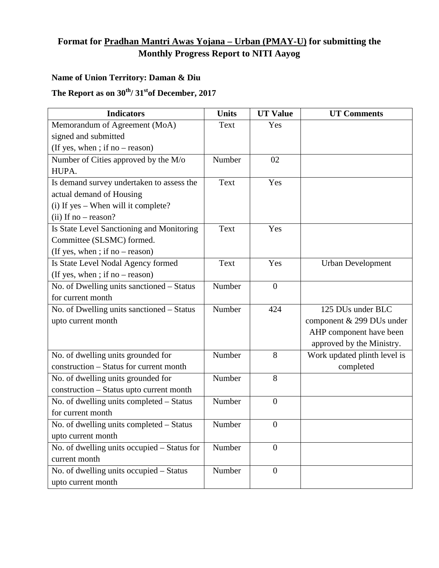## **Format for Pradhan Mantri Awas Yojana – Urban (PMAY-U) for submitting the Monthly Progress Report to NITI Aayog**

## **Name of Union Territory: Daman & Diu**

## The Report as on  $30^{th}$ /  $31^{st}$ of December, 2017

| <b>Indicators</b>                           | <b>Units</b> | <b>UT Value</b>  | <b>UT Comments</b>           |
|---------------------------------------------|--------------|------------------|------------------------------|
| Memorandum of Agreement (MoA)               | Text         | Yes              |                              |
| signed and submitted                        |              |                  |                              |
| (If yes, when ; if no – reason)             |              |                  |                              |
| Number of Cities approved by the M/o        | Number       | 02               |                              |
| HUPA.                                       |              |                  |                              |
| Is demand survey undertaken to assess the   | Text         | Yes              |                              |
| actual demand of Housing                    |              |                  |                              |
| $(i)$ If yes – When will it complete?       |              |                  |                              |
| $(ii)$ If no – reason?                      |              |                  |                              |
| Is State Level Sanctioning and Monitoring   | Text         | Yes              |                              |
| Committee (SLSMC) formed.                   |              |                  |                              |
| (If yes, when ; if no – reason)             |              |                  |                              |
| Is State Level Nodal Agency formed          | Text         | Yes              | <b>Urban Development</b>     |
| (If yes, when ; if no $-$ reason)           |              |                  |                              |
| No. of Dwelling units sanctioned - Status   | Number       | $\boldsymbol{0}$ |                              |
| for current month                           |              |                  |                              |
| No. of Dwelling units sanctioned - Status   | Number       | 424              | 125 DUs under BLC            |
| upto current month                          |              |                  | component & 299 DUs under    |
|                                             |              |                  | AHP component have been      |
|                                             |              |                  | approved by the Ministry.    |
| No. of dwelling units grounded for          | Number       | 8                | Work updated plinth level is |
| construction - Status for current month     |              |                  | completed                    |
| No. of dwelling units grounded for          | Number       | 8                |                              |
| construction - Status upto current month    |              |                  |                              |
| No. of dwelling units completed - Status    | Number       | $\overline{0}$   |                              |
| for current month                           |              |                  |                              |
| No. of dwelling units completed - Status    | Number       | $\boldsymbol{0}$ |                              |
| upto current month                          |              |                  |                              |
| No. of dwelling units occupied - Status for | Number       | $\overline{0}$   |                              |
| current month                               |              |                  |                              |
| No. of dwelling units occupied - Status     | Number       | $\overline{0}$   |                              |
| upto current month                          |              |                  |                              |